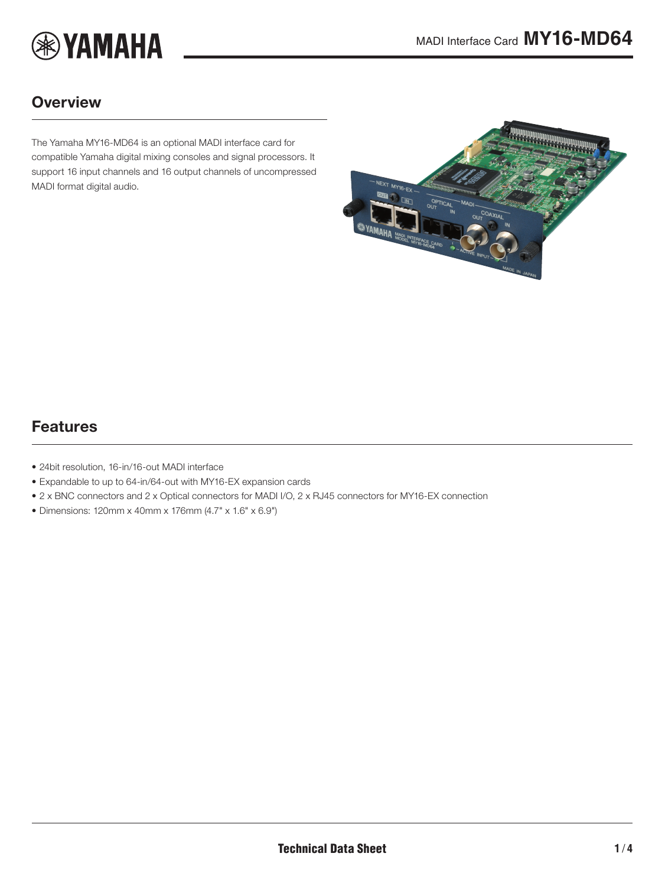

### **Overview**

The Yamaha MY16-MD64 is an optional MADI interface card for compatible Yamaha digital mixing consoles and signal processors. It support 16 input channels and 16 output channels of uncompressed MADI format digital audio.

<span id="page-0-0"></span>

### Features

- 24bit resolution, 16-in/16-out MADI interface
- Expandable to up to 64-in/64-out with MY16-EX expansion cards
- 2 x BNC connectors and 2 x Optical connectors for MADI I/O, 2 x RJ45 connectors for MY16-EX connection
- Dimensions: 120mm x 40mm x 176mm (4.7" x 1.6" x 6.9")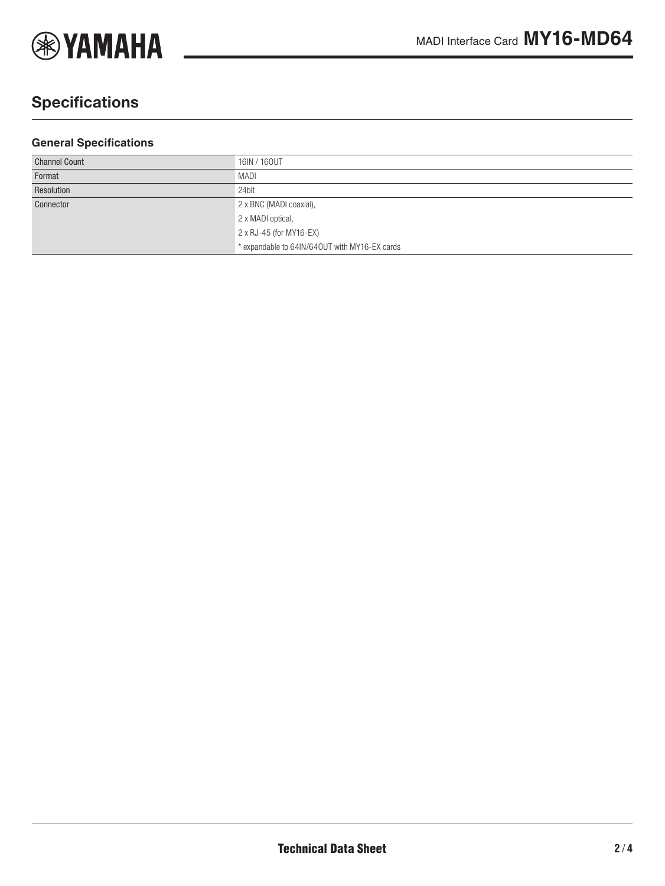

# **Specifications**

#### **General Specifications**

| <b>Channel Count</b> | 16IN / 160UT                                  |
|----------------------|-----------------------------------------------|
| Format               | MADI                                          |
| Resolution           | 24bit                                         |
| Connector            | 2 x BNC (MADI coaxial),                       |
|                      | 2 x MADI optical,                             |
|                      | 2 x RJ-45 (for MY16-EX)                       |
|                      | * expandable to 64IN/640UT with MY16-EX cards |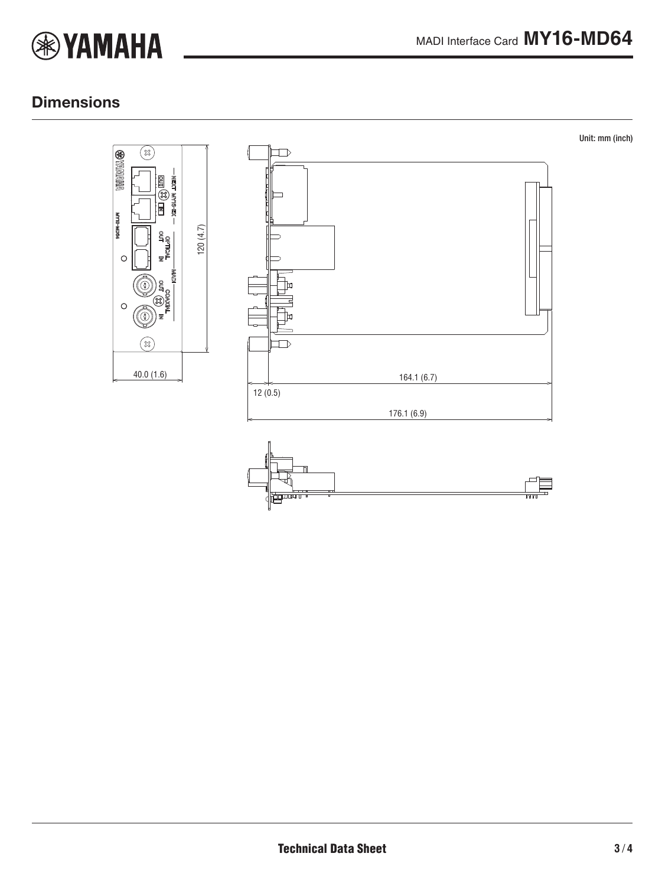

# **Dimensions**